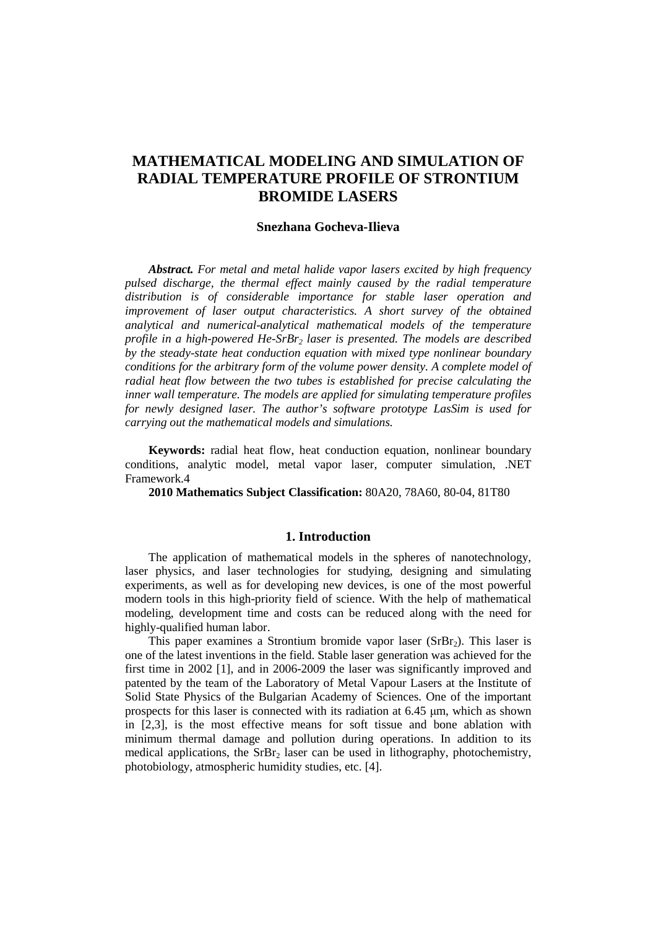# **MATHEMATICAL MODELING AND SIMULATION OF RADIAL TEMPERATURE PROFILE OF STRONTIUM BROMIDE LASERS**

### **Snezhana Gocheva-Ilieva**

*Abstract. For metal and metal halide vapor lasers excited by high frequency pulsed discharge, the thermal effect mainly caused by the radial temperature distribution is of considerable importance for stable laser operation and improvement of laser output characteristics. A short survey of the obtained analytical and numerical-analytical mathematical models of the temperature profile in a high-powered He-SrBr2 laser is presented. The models are described by the steady-state heat conduction equation with mixed type nonlinear boundary conditions for the arbitrary form of the volume power density. A complete model of radial heat flow between the two tubes is established for precise calculating the inner wall temperature. The models are applied for simulating temperature profiles for newly designed laser. The author's software prototype LasSim is used for carrying out the mathematical models and simulations.* 

**Keywords:** radial heat flow, heat conduction equation, nonlinear boundary conditions, analytic model, metal vapor laser, computer simulation, .NET Framework.4

**2010 Mathematics Subject Classification:** 80A20, 78A60, 80-04, 81T80

#### **1. Introduction**

The application of mathematical models in the spheres of nanotechnology, laser physics, and laser technologies for studying, designing and simulating experiments, as well as for developing new devices, is one of the most powerful modern tools in this high-priority field of science. With the help of mathematical modeling, development time and costs can be reduced along with the need for highly-qualified human labor.

This paper examines a Strontium bromide vapor laser ( $SrBr<sub>2</sub>$ ). This laser is one of the latest inventions in the field. Stable laser generation was achieved for the first time in 2002 [1], and in 2006-2009 the laser was significantly improved and patented by the team of the Laboratory of Metal Vapour Lasers at the Institute of Solid State Physics of the Bulgarian Academy of Sciences. One of the important prospects for this laser is connected with its radiation at 6.45 µm, which as shown in [2,3], is the most effective means for soft tissue and bone ablation with minimum thermal damage and pollution during operations. In addition to its medical applications, the  $SrBr<sub>2</sub>$  laser can be used in lithography, photochemistry, photobiology, atmospheric humidity studies, etc. [4].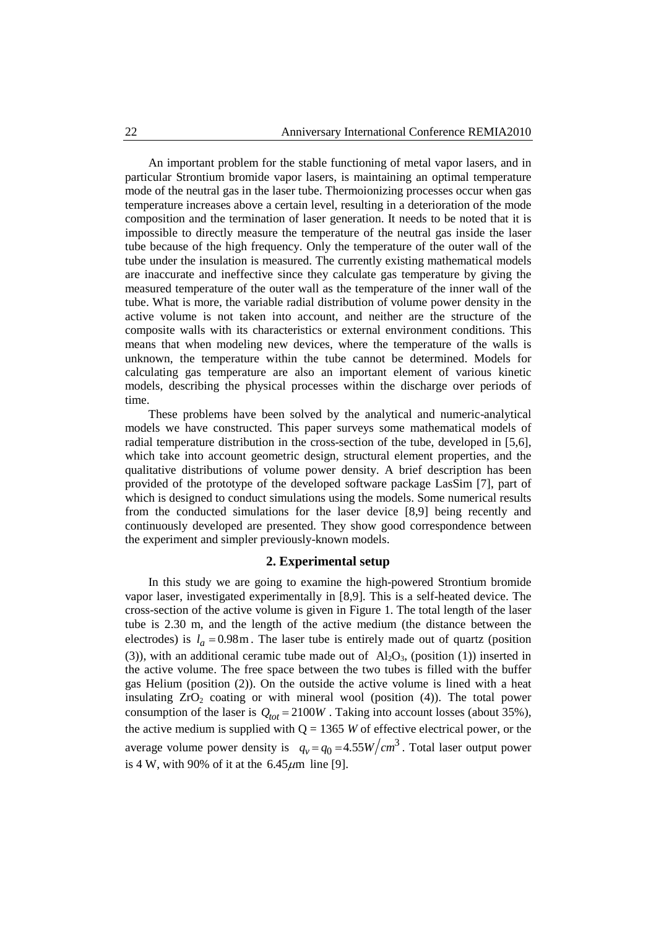An important problem for the stable functioning of metal vapor lasers, and in particular Strontium bromide vapor lasers, is maintaining an optimal temperature mode of the neutral gas in the laser tube. Thermoionizing processes occur when gas temperature increases above a certain level, resulting in a deterioration of the mode composition and the termination of laser generation. It needs to be noted that it is impossible to directly measure the temperature of the neutral gas inside the laser tube because of the high frequency. Only the temperature of the outer wall of the tube under the insulation is measured. The currently existing mathematical models are inaccurate and ineffective since they calculate gas temperature by giving the measured temperature of the outer wall as the temperature of the inner wall of the tube. What is more, the variable radial distribution of volume power density in the active volume is not taken into account, and neither are the structure of the composite walls with its characteristics or external environment conditions. This means that when modeling new devices, where the temperature of the walls is unknown, the temperature within the tube cannot be determined. Models for calculating gas temperature are also an important element of various kinetic models, describing the physical processes within the discharge over periods of time.

These problems have been solved by the analytical and numeric-analytical models we have constructed. This paper surveys some mathematical models of radial temperature distribution in the cross-section of the tube, developed in [5,6], which take into account geometric design, structural element properties, and the qualitative distributions of volume power density. A brief description has been provided of the prototype of the developed software package LasSim [7], part of which is designed to conduct simulations using the models. Some numerical results from the conducted simulations for the laser device [8,9] being recently and continuously developed are presented. They show good correspondence between the experiment and simpler previously-known models.

### **2. Experimental setup**

In this study we are going to examine the high-powered Strontium bromide vapor laser, investigated experimentally in [8,9]. This is a self-heated device. The cross-section of the active volume is given in Figure 1. The total length of the laser tube is 2.30 m, and the length of the active medium (the distance between the electrodes) is  $l_a = 0.98$ m. The laser tube is entirely made out of quartz (position (3)), with an additional ceramic tube made out of  $\text{Al}_2\text{O}_3$ , (position (1)) inserted in the active volume. The free space between the two tubes is filled with the buffer gas Helium (position (2)). On the outside the active volume is lined with a heat insulating  $ZrO<sub>2</sub>$  coating or with mineral wool (position (4)). The total power consumption of the laser is  $Q_{tot} = 2100W$ . Taking into account losses (about 35%), the active medium is supplied with  $Q = 1365$  *W* of effective electrical power, or the average volume power density is  $q_v = q_0 = 4.55 W/cm^3$ . Total laser output power is 4 W, with 90% of it at the  $6.45 \mu m$  line [9].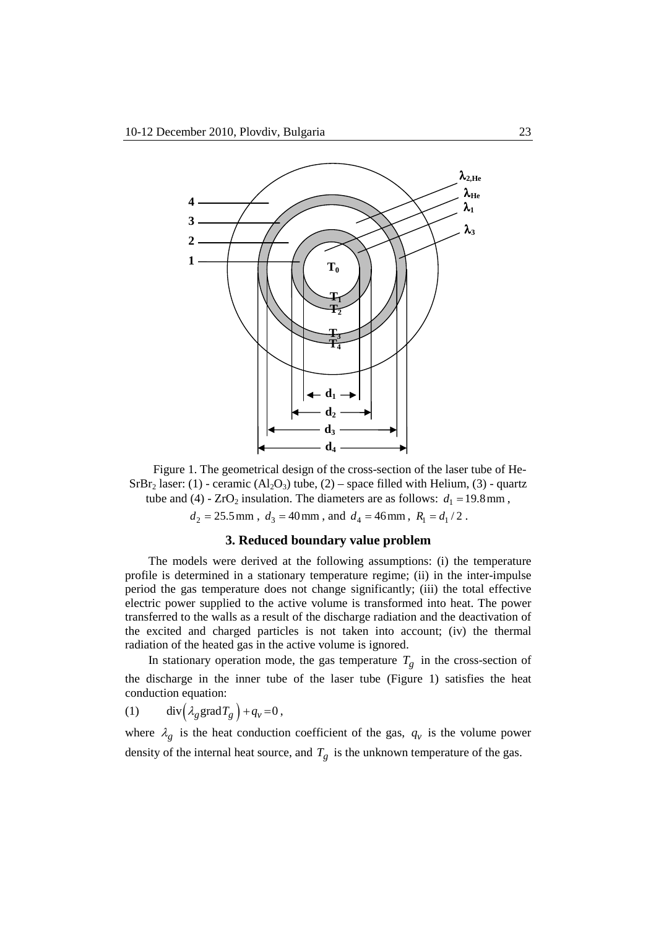

Figure 1. The geometrical design of the cross-section of the laser tube of He-SrBr<sub>2</sub> laser: (1) - ceramic (Al<sub>2</sub>O<sub>3</sub>) tube, (2) – space filled with Helium, (3) - quartz tube and (4) -  $ZrO_2$  insulation. The diameters are as follows:  $d_1 = 19.8 \text{ mm}$ ,

 $d_2 = 25.5$  mm,  $d_3 = 40$  mm, and  $d_4 = 46$  mm,  $R_1 = d_1/2$ .

## **3. Reduced boundary value problem**

The models were derived at the following assumptions: (i) the temperature profile is determined in a stationary temperature regime; (ii) in the inter-impulse period the gas temperature does not change significantly; (iii) the total effective electric power supplied to the active volume is transformed into heat. The power transferred to the walls as a result of the discharge radiation and the deactivation of the excited and charged particles is not taken into account; (iv) the thermal radiation of the heated gas in the active volume is ignored.

In stationary operation mode, the gas temperature  $T_g$  in the cross-section of the discharge in the inner tube of the laser tube (Figure 1) satisfies the heat conduction equation:

$$
(1) \qquad \text{div}\left(\lambda_g \text{grad} T_g\right) + q_v = 0\,,
$$

where  $\lambda_g$  is the heat conduction coefficient of the gas,  $q_v$  is the volume power density of the internal heat source, and  $T_g$  is the unknown temperature of the gas.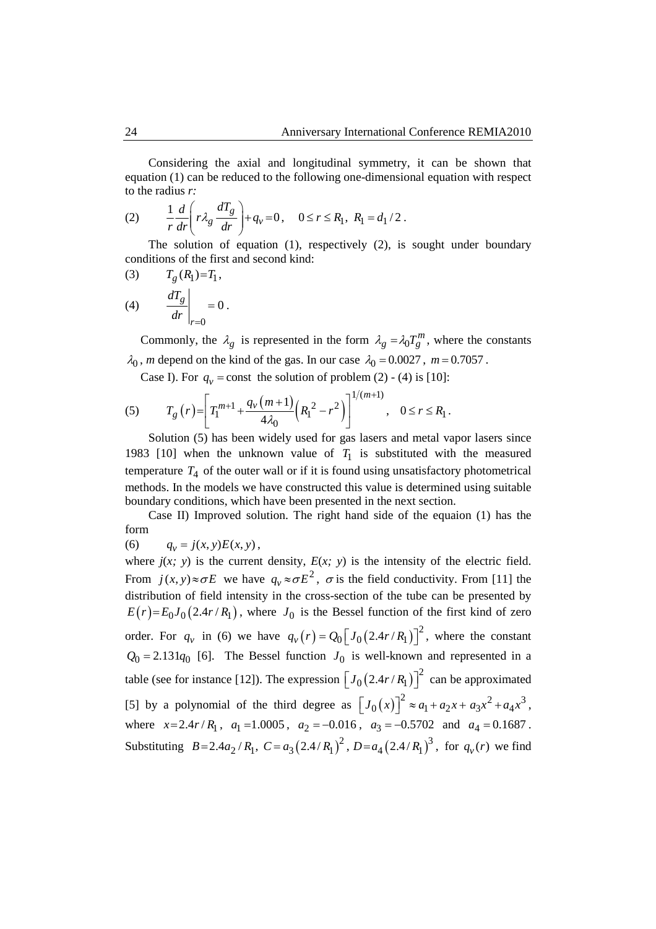Considering the axial and longitudinal symmetry, it can be shown that equation (1) can be reduced to the following one-dimensional equation with respect to the radius *r:*

(2) 
$$
\frac{1}{r}\frac{d}{dr}\left(r\lambda_g \frac{dT_g}{dr}\right) + q_v = 0, \quad 0 \le r \le R_1, R_1 = d_1/2.
$$

The solution of equation (1), respectively (2), is sought under boundary conditions of the first and second kind:

(3) 
$$
T_g(R_1)=T_1,
$$
  
\n(4) 
$$
\left.\begin{array}{c}\n\frac{dT_g}{dr}\n\end{array}\right|_{r=0}=0.
$$

Commonly, the  $\lambda_g$  is represented in the form  $\lambda_g = \lambda_0 T_g^m$ , where the constants  $\lambda_0$ , *m* depend on the kind of the gas. In our case  $\lambda_0 = 0.0027$ ,  $m = 0.7057$ .

Case I). For  $q_v$  = const the solution of problem (2) - (4) is [10]:

(5) 
$$
T_g(r) = \left[ T_1^{m+1} + \frac{q_v(m+1)}{4\lambda_0} \left( R_1^2 - r^2 \right) \right]^{1/(m+1)}, \quad 0 \le r \le R_1.
$$

Solution (5) has been widely used for gas lasers and metal vapor lasers since 1983 [10] when the unknown value of  $T_1$  is substituted with the measured temperature  $T_4$  of the outer wall or if it is found using unsatisfactory photometrical methods. In the models we have constructed this value is determined using suitable boundary conditions, which have been presented in the next section.

Case II) Improved solution. Тhe right hand side of the equaion (1) has the form

(6)  $q_y = j(x, y)E(x, y)$ ,

where  $j(x, y)$  is the current density,  $E(x, y)$  is the intensity of the electric field. From  $j(x, y) \approx \sigma E$  we have  $q_y \approx \sigma E^2$ ,  $\sigma$  is the field conductivity. From [11] the distribution of field intensity in the cross-section of the tube can be presented by  $E(r) = E_0 J_0 (2.4r/R_1)$ , where  $J_0$  is the Bessel function of the first kind of zero order. For  $q_v$  in (6) we have  $q_v(r) = Q_0 \left[ J_0 \left( 2.4r/R_1 \right) \right]^2$ , where the constant  $Q_0 = 2.131q_0$  [6]. The Bessel function  $J_0$  is well-known and represented in a table (see for instance [12]). The expression  $[J_0(2.4r/R_1)]^2$  can be approximated [5] by a polynomial of the third degree as  $[J_0(x)]^2 \approx a_1 + a_2x + a_3x^2 + a_4x^3$ , where  $x=2.4r/R_1$ ,  $a_1=1.0005$ ,  $a_2=-0.016$ ,  $a_3=-0.5702$  and  $a_4=0.1687$ . Substituting  $B = 2.4 a_2 / R_1$ ,  $C = a_3 (2.4 / R_1)^2$ ,  $D = a_4 (2.4 / R_1)^3$ , for  $q_v(r)$  we find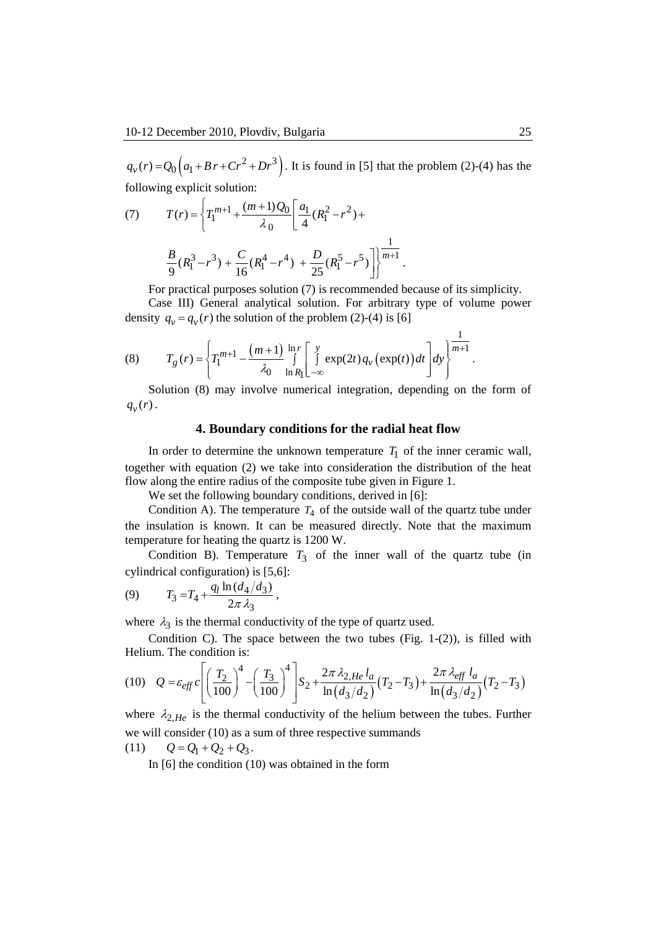$q_v(r) = Q_0 (q_1 + Br + Cr^2 + Dr^3)$ . It is found in [5] that the problem (2)-(4) has the following explicit solution:

(7) 
$$
T(r) = \left\{ T_1^{m+1} + \frac{(m+1)Q_0}{\lambda_0} \left[ \frac{a_1}{4} (R_1^2 - r^2) + \frac{B}{9} (R_1^3 - r^3) + \frac{C}{16} (R_1^4 - r^4) + \frac{D}{25} (R_1^5 - r^5) \right] \right\}^{\frac{1}{m+1}}.
$$

For practical purposes solution (7) is recommended because of its simplicity. Case III) General analytical solution. For arbitrary type of volume power density  $q_v = q_v(r)$  the solution of the problem (2)-(4) is [6]

(8) 
$$
T_g(r) = \left\{ T_1^{m+1} - \frac{(m+1)}{\lambda_0} \int_{\ln R_1}^{1} \left[ \int_{-\infty}^{y} \exp(2t) q_v \left( \exp(t) \right) dt \right] dy \right\}^{\frac{1}{m+1}}.
$$

Solution (8) may involve numerical integration, depending on the form of  $q_{v}(r)$ .

### **4. Boundary conditions for the radial heat flow**

In order to determine the unknown temperature  $T_1$  of the inner ceramic wall, together with equation (2) we take into consideration the distribution of the heat flow along the entire radius of the composite tube given in Figure 1.

We set the following boundary conditions, derived in [6]:

Condition A). The temperature  $T_4$  of the outside wall of the quartz tube under the insulation is known. It can be measured directly. Note that the maximum temperature for heating the quartz is 1200 W.

Condition B). Temperature  $T_3$  of the inner wall of the quartz tube (in cylindrical configuration) is [5,6]:

(9) 
$$
T_3 = T_4 + \frac{q_l \ln \left( d_4 / d_3 \right)}{2 \pi \lambda_3},
$$

where  $\lambda_3$  is the thermal conductivity of the type of quartz used.

Condition C). The space between the two tubes (Fig.  $1-(2)$ ), is filled with Helium. The condition is:

$$
(10) \quad Q = \varepsilon_{eff} c \left[ \left( \frac{T_2}{100} \right)^4 - \left( \frac{T_3}{100} \right)^4 \right] S_2 + \frac{2\pi \lambda_{2,He} l_a}{\ln \left( d_3 / d_2 \right)} (T_2 - T_3) + \frac{2\pi \lambda_{eff} l_a}{\ln \left( d_3 / d_2 \right)} (T_2 - T_3)
$$

where  $\lambda_{2,He}$  is the thermal conductivity of the helium between the tubes. Further we will consider (10) as a sum of three respective summands (11)  $Q = Q_1 + Q_2 + Q_3$ .

In [6] the condition (10) was obtained in the form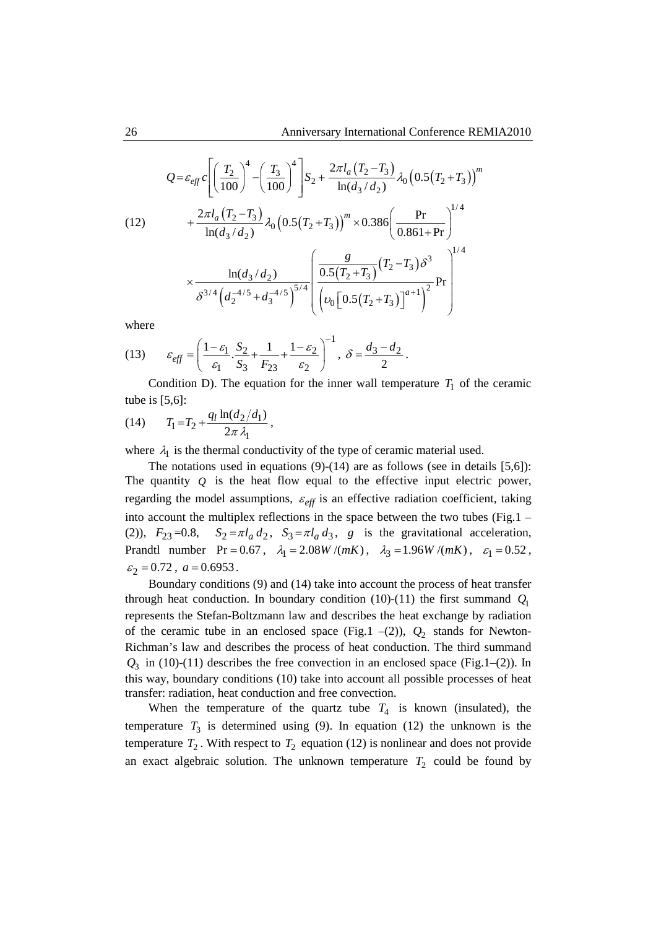$$
Q = \varepsilon_{eff} c \left[ \left( \frac{T_2}{100} \right)^4 - \left( \frac{T_3}{100} \right)^4 \right] S_2 + \frac{2\pi l_a (T_2 - T_3)}{\ln(d_3/d_2)} \lambda_0 \left( 0.5(T_2 + T_3) \right)^m
$$
  
(12)  

$$
+ \frac{2\pi l_a (T_2 - T_3)}{\ln(d_3/d_2)} \lambda_0 \left( 0.5(T_2 + T_3) \right)^m \times 0.386 \left( \frac{\text{Pr}}{0.861 + \text{Pr}} \right)^{1/4}
$$

$$
\times \frac{\ln(d_3/d_2)}{\delta^{3/4} \left( d_2^{-4/5} + d_3^{-4/5} \right)^{5/4}} \left( \frac{\frac{g}{0.5(T_2 + T_3)} (T_2 - T_3) \delta^3}{\left( \nu_0 \left[ 0.5(T_2 + T_3) \right]^{a+1} \right)^2} \text{Pr} \right)^{1/4}
$$

where

(13) 
$$
\varepsilon_{eff} = \left(\frac{1-\varepsilon_1}{\varepsilon_1} \cdot \frac{S_2}{S_3} + \frac{1}{F_{23}} + \frac{1-\varepsilon_2}{\varepsilon_2}\right)^{-1}, \ \delta = \frac{d_3 - d_2}{2}.
$$

Condition D). The equation for the inner wall temperature  $T_1$  of the ceramic tube is [5,6]:

(14) 
$$
T_1 = T_2 + \frac{q_l \ln(d_2/d_1)}{2\pi \lambda_1},
$$

where  $\lambda_1$  is the thermal conductivity of the type of ceramic material used.

The notations used in equations  $(9)-(14)$  are as follows (see in details [5,6]): The quantity  *is the heat flow equal to the effective input electric power,* regarding the model assumptions,  $\varepsilon_{\text{eff}}$  is an effective radiation coefficient, taking into account the multiplex reflections in the space between the two tubes (Fig.1 – (2)),  $F_{23} = 0.8$ ,  $S_2 = \pi l_a d_2$ ,  $S_3 = \pi l_a d_3$ , g is the gravitational acceleration, Prandtl number Pr = 0.67,  $\lambda_1 = 2.08W/(mK)$ ,  $\lambda_3 = 1.96W/(mK)$ ,  $\varepsilon_1 = 0.52$ ,  $\varepsilon_2 = 0.72$ ,  $a = 0.6953$ .

Boundary conditions (9) and (14) take into account the process of heat transfer through heat conduction. In boundary condition (10)-(11) the first summand  $Q_1$ represents the Stefan-Boltzmann law and describes the heat exchange by radiation of the ceramic tube in an enclosed space (Fig.1  $-(2)$ ),  $Q_2$  stands for Newton-Richman's law and describes the process of heat conduction. The third summand  $Q_3$  in (10)-(11) describes the free convection in an enclosed space (Fig.1–(2)). In this way, boundary conditions (10) take into account all possible processes of heat transfer: radiation, heat conduction and free convection.

When the temperature of the quartz tube  $T_4$  is known (insulated), the temperature  $T_3$  is determined using (9). In equation (12) the unknown is the temperature  $T_2$ . With respect to  $T_2$  equation (12) is nonlinear and does not provide an exact algebraic solution. The unknown temperature  $T_2$  could be found by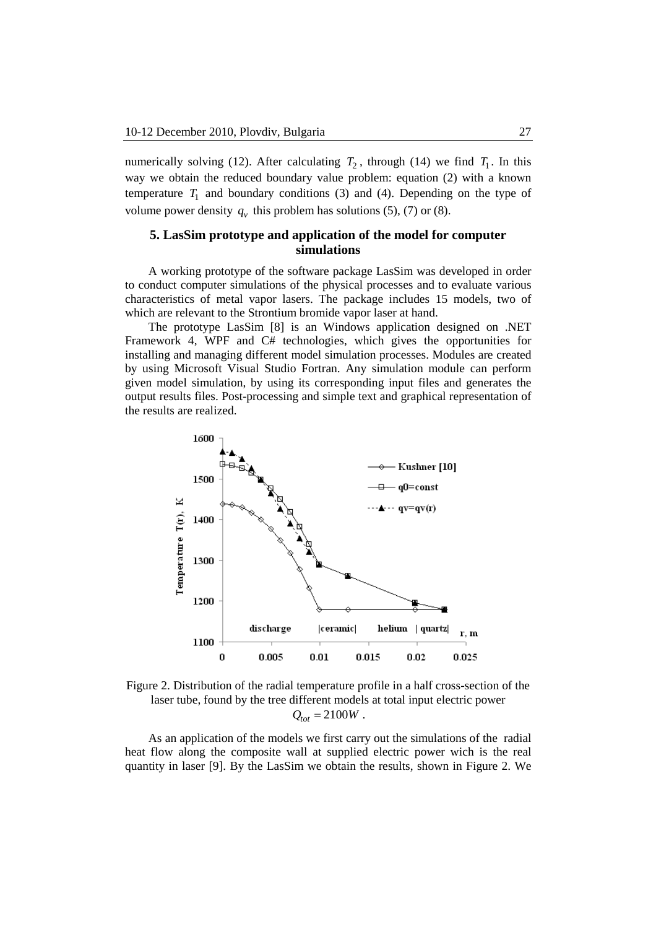numerically solving (12). After calculating  $T_2$ , through (14) we find  $T_1$ . In this way we obtain the reduced boundary value problem: equation (2) with a known temperature  $T_1$  and boundary conditions (3) and (4). Depending on the type of volume power density  $q_v$  this problem has solutions (5), (7) or (8).

### **5. LasSim prototype and application of the model for computer simulations**

A working prototype of the software package LasSim was developed in order to conduct computer simulations of the physical processes and to evaluate various characteristics of metal vapor lasers. The package includes 15 models, two of which are relevant to the Strontium bromide vapor laser at hand.

The prototype LasSim [8] is an Windows application designed on .NET Framework 4, WPF and C# technologies, which gives the opportunities for installing and managing different model simulation processes. Modules are created by using Microsoft Visual Studio Fortran. Any simulation module can perform given model simulation, by using its corresponding input files and generates the output results files. Post-processing and simple text and graphical representation of the results are realized.



Figure 2. Distribution of the radial temperature profile in a half cross-section of the laser tube, found by the tree different models at total input electric power  $Q_{tot} = 2100W$ .

As an application of the models we first carry out the simulations of the radial heat flow along the composite wall at supplied electric power wich is the real quantity in laser [9]. By the LasSim we obtain the results, shown in Figure 2. We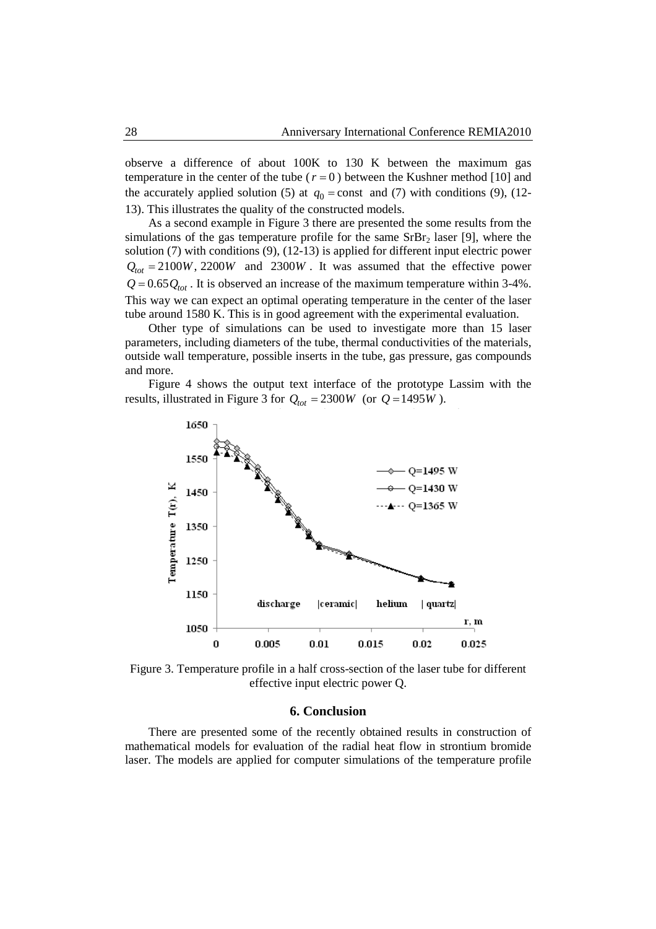observe a difference of about 100K to 130 K between the maximum gas temperature in the center of the tube  $(r = 0)$  between the Kushner method [10] and the accurately applied solution (5) at  $q_0 = \text{const}$  and (7) with conditions (9), (12-13). This illustrates the quality of the constructed models.

As a second example in Figure 3 there are presented the some results from the simulations of the gas temperature profile for the same  $SrBr<sub>2</sub>$  laser [9], where the solution (7) with conditions (9), (12-13) is applied for different input electric power  $Q_{tot} = 2100W$ , 2200*W* and 2300*W*. It was assumed that the effective power  $Q = 0.65 Q_{tot}$ . It is observed an increase of the maximum temperature within 3-4%. This way we can expect an optimal operating temperature in the center of the laser tube around 1580 K. This is in good agreement with the experimental evaluation.

Other type of simulations can be used to investigate more than 15 laser parameters, including diameters of the tube, thermal conductivities of the materials, outside wall temperature, possible inserts in the tube, gas pressure, gas compounds and more.

Figure 4 shows the output text interface of the prototype Lassim with the results, illustrated in Figure 3 for  $Q_{tot} = 2300W$  (or  $Q = 1495W$ ).



Figure 3. Temperature profile in a half cross-section of the laser tube for different effective input electric power Q.

#### **6. Conclusion**

There are presented some of the recently obtained results in construction of mathematical models for evaluation of the radial heat flow in strontium bromide laser. The models are applied for computer simulations of the temperature profile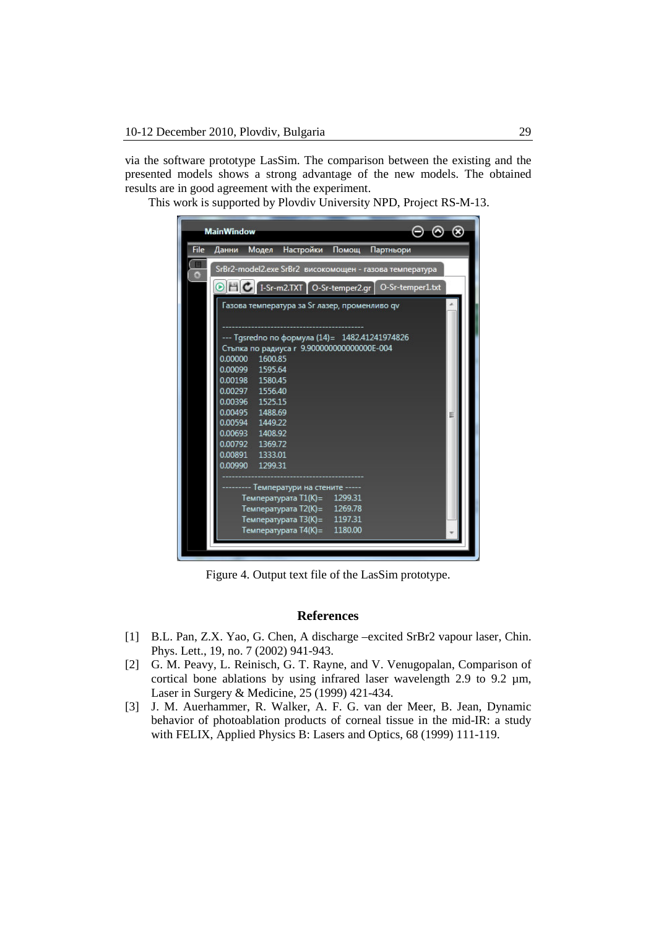via the software prototype LasSim. The comparison between the existing and the presented models shows a strong advantage of the new models. The obtained results are in good agreement with the experiment.

This work is supported by Plovdiv University NPD, Project RS-M-13.

|             | <b>MainWindow</b>                                                 |  |
|-------------|-------------------------------------------------------------------|--|
| <b>File</b> | Данни Модел Настройки Помощ<br>Партньори                          |  |
| a           | SrBr2-model2.exe SrBr2 високомощен - газова температура           |  |
|             | O HC I-Sr-m2.TXT O-Sr-temper2.gr O-Sr-temper1.txt                 |  |
|             | Газова температура за Sr лазер, променливо qv                     |  |
|             |                                                                   |  |
|             | --- Tgsredno по формула (14)= 1482.41241974826                    |  |
|             | Стъпка по радиуса г 9.9000000000000000E-004<br>0.00000<br>1600.85 |  |
|             | 0.00099 1595.64                                                   |  |
|             | 0.00198 1580.45                                                   |  |
|             | 0.00297 1556.40                                                   |  |
|             | 0.00396 1525.15                                                   |  |
|             | 0.00495 1488.69                                                   |  |
|             | 0.00594 1449.22                                                   |  |
|             | 0.00693 1408.92                                                   |  |
|             | 0.00792 1369.72                                                   |  |
|             | 0.00891 1333.01                                                   |  |
|             | 0.00990 1299.31                                                   |  |
|             | ---- Температури на стените -----                                 |  |
|             | Температурата T1(K)= 1299.31                                      |  |
|             | Температурата T2(K)= 1269.78                                      |  |
|             | Температурата ТЗ(К)= 1197.31                                      |  |
|             | Температурата T4(K)= 1180.00                                      |  |
|             |                                                                   |  |

Figure 4. Output text file of the LasSim prototype.

#### **References**

- [1] B.L. Pan, Z.X. Yao, G. Chen, A discharge –excited SrBr2 vapour laser, Chin. Phys. Lett., 19, no. 7 (2002) 941-943.
- [2] G. M. Peavy, L. Reinisch, G. T. Rayne, and V. Venugopalan, Comparison of cortical bone ablations by using infrared laser wavelength 2.9 to 9.2  $\mu$ m, Laser in Surgery & Medicine, 25 (1999) 421-434.
- [3] J. M. Auerhammer, R. Walker, A. F. G. van der Meer, B. Jean, Dynamic behavior of photoablation products of corneal tissue in the mid-IR: a study with FELIX, Applied Physics B: Lasers and Optics, 68 (1999) 111-119.